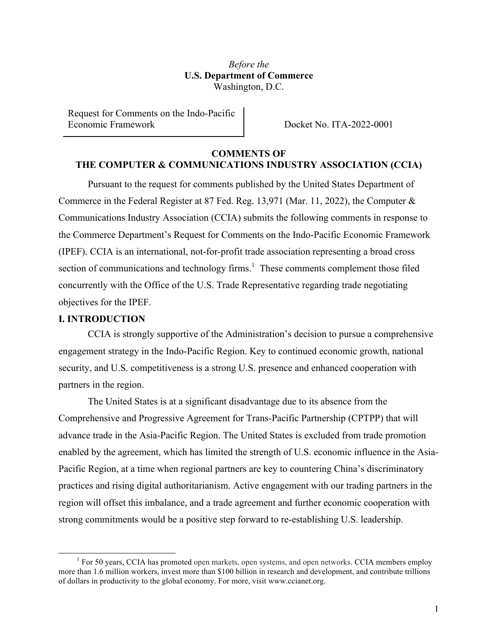*Before the* **U.S. Department of Commerce** Washington, D.C.

Request for Comments on the Indo-Pacific Economic Framework **Docket No. ITA-2022-0001** 

# **COMMENTS OF THE COMPUTER & COMMUNICATIONS INDUSTRY ASSOCIATION (CCIA)**

Pursuant to the request for comments published by the United States Department of Commerce in the Federal Register at 87 Fed. Reg. 13,971 (Mar. 11, 2022), the Computer & Communications Industry Association (CCIA) submits the following comments in response to the Commerce Department's Request for Comments on the Indo-Pacific Economic Framework (IPEF). CCIA is an international, not-for-profit trade association representing a broad cross section of communications and technology firms.<sup>1</sup> These comments complement those filed concurrently with the Office of the U.S. Trade Representative regarding trade negotiating objectives for the IPEF.

### **I. INTRODUCTION**

CCIA is strongly supportive of the Administration's decision to pursue a comprehensive engagement strategy in the Indo-Pacific Region. Key to continued economic growth, national security, and U.S. competitiveness is a strong U.S. presence and enhanced cooperation with partners in the region.

The United States is at a significant disadvantage due to its absence from the Comprehensive and Progressive Agreement for Trans-Pacific Partnership (CPTPP) that will advance trade in the Asia-Pacific Region. The United States is excluded from trade promotion enabled by the agreement, which has limited the strength of U.S. economic influence in the Asia-Pacific Region, at a time when regional partners are key to countering China's discriminatory practices and rising digital authoritarianism. Active engagement with our trading partners in the region will offset this imbalance, and a trade agreement and further economic cooperation with strong commitments would be a positive step forward to re-establishing U.S. leadership.

 $1$  For 50 years, CCIA has promoted open markets, open systems, and open networks. CCIA members employ more than 1.6 million workers, invest more than \$100 billion in research and development, and contribute trillions of dollars in productivity to the global economy. For more, visit www.ccianet.org.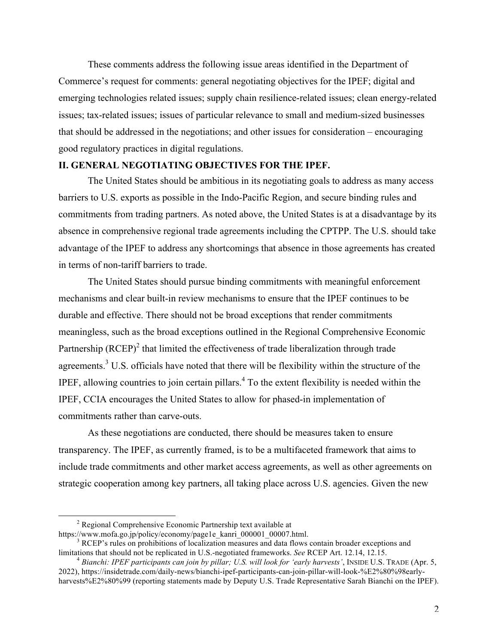These comments address the following issue areas identified in the Department of Commerce's request for comments: general negotiating objectives for the IPEF; digital and emerging technologies related issues; supply chain resilience-related issues; clean energy-related issues; tax-related issues; issues of particular relevance to small and medium-sized businesses that should be addressed in the negotiations; and other issues for consideration – encouraging good regulatory practices in digital regulations.

## **II. GENERAL NEGOTIATING OBJECTIVES FOR THE IPEF.**

The United States should be ambitious in its negotiating goals to address as many access barriers to U.S. exports as possible in the Indo-Pacific Region, and secure binding rules and commitments from trading partners. As noted above, the United States is at a disadvantage by its absence in comprehensive regional trade agreements including the CPTPP. The U.S. should take advantage of the IPEF to address any shortcomings that absence in those agreements has created in terms of non-tariff barriers to trade.

The United States should pursue binding commitments with meaningful enforcement mechanisms and clear built-in review mechanisms to ensure that the IPEF continues to be durable and effective. There should not be broad exceptions that render commitments meaningless, such as the broad exceptions outlined in the Regional Comprehensive Economic Partnership  $(RCEP)^2$  that limited the effectiveness of trade liberalization through trade agreements. $3 \text{ U.S.}$  officials have noted that there will be flexibility within the structure of the IPEF, allowing countries to join certain pillars.<sup>4</sup> To the extent flexibility is needed within the IPEF, CCIA encourages the United States to allow for phased-in implementation of commitments rather than carve-outs.

As these negotiations are conducted, there should be measures taken to ensure transparency. The IPEF, as currently framed, is to be a multifaceted framework that aims to include trade commitments and other market access agreements, as well as other agreements on strategic cooperation among key partners, all taking place across U.S. agencies. Given the new

<sup>&</sup>lt;sup>2</sup> Regional Comprehensive Economic Partnership text available at https://www.mofa.go.jp/policy/economy/page1e kanri 000001 00007.html.

 $\frac{3}{3}$  RCEP's rules on prohibitions of localization measures and data flows contain broader exceptions and limitations that should not be replicated in U.S.-negotiated frameworks. See RCEP Art. 12.14, 12.15.<br><sup>4</sup> Bianchi: IPEF participants can join by pillar; U.S. will look for 'early harvests', INSIDE U.S. TRADE (Apr. 5,

<sup>2022),</sup> https://insidetrade.com/daily-news/bianchi-ipef-participants-can-join-pillar-will-look-%E2%80%98earlyharvests%E2%80%99 (reporting statements made by Deputy U.S. Trade Representative Sarah Bianchi on the IPEF).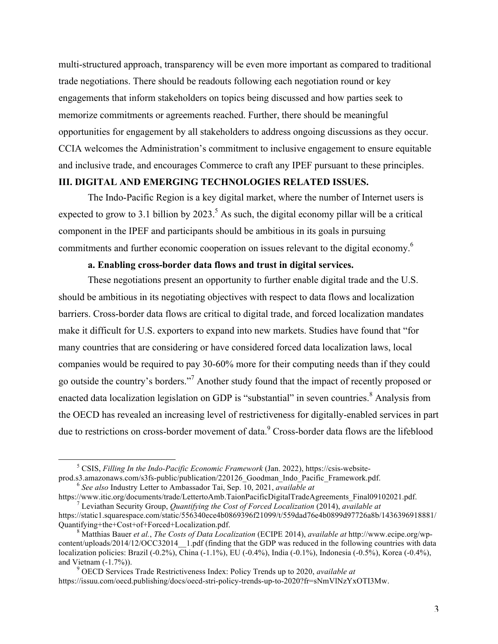multi-structured approach, transparency will be even more important as compared to traditional trade negotiations. There should be readouts following each negotiation round or key engagements that inform stakeholders on topics being discussed and how parties seek to memorize commitments or agreements reached. Further, there should be meaningful opportunities for engagement by all stakeholders to address ongoing discussions as they occur. CCIA welcomes the Administration's commitment to inclusive engagement to ensure equitable and inclusive trade, and encourages Commerce to craft any IPEF pursuant to these principles.

### **III. DIGITAL AND EMERGING TECHNOLOGIES RELATED ISSUES.**

The Indo-Pacific Region is a key digital market, where the number of Internet users is expected to grow to 3.1 billion by 2023.<sup>5</sup> As such, the digital economy pillar will be a critical component in the IPEF and participants should be ambitious in its goals in pursuing commitments and further economic cooperation on issues relevant to the digital economy.<sup>6</sup>

#### **a. Enabling cross-border data flows and trust in digital services.**

These negotiations present an opportunity to further enable digital trade and the U.S. should be ambitious in its negotiating objectives with respect to data flows and localization barriers. Cross-border data flows are critical to digital trade, and forced localization mandates make it difficult for U.S. exporters to expand into new markets. Studies have found that "for many countries that are considering or have considered forced data localization laws, local companies would be required to pay 30-60% more for their computing needs than if they could go outside the country's borders."7 Another study found that the impact of recently proposed or enacted data localization legislation on GDP is "substantial" in seven countries.<sup>8</sup> Analysis from the OECD has revealed an increasing level of restrictiveness for digitally-enabled services in part due to restrictions on cross-border movement of data.<sup>9</sup> Cross-border data flows are the lifeblood

<sup>&</sup>lt;sup>5</sup> CSIS, *Filling In the Indo-Pacific Economic Framework* (Jan. 2022), https://csis-website-<br>prod.s3.amazonaws.com/s3fs-public/publication/220126 Goodman Indo Pacific Framework.pdf.

<sup>&</sup>lt;sup>6</sup> See also Industry Letter to Ambassador Tai, Sep. 10, 2021, *available at*<br>https://www.itic.org/documents/trade/LettertoAmb.TaionPacificDigitalTradeAgreements Final09102021.pdf.  $\frac{1}{2}$  Leviathan Security Group, *Quantifying the Cost of Forced Localization* (2014), *available at* 

https://static1.squarespace.com/static/556340ece4b0869396f21099/t/559dad76e4b0899d97726a8b/1436396918881/<br>Quantifying+the+Cost+of+Forced+Localization.pdf.

<sup>&</sup>lt;sup>8</sup> Matthias Bauer *et al., The Costs of Data Localization* (ECIPE 2014), *available at* http://www.ecipe.org/wpcontent/uploads/2014/12/OCC32014\_\_1.pdf (finding that the GDP was reduced in the following countries with data localization policies: Brazil (-0.2%), China (-1.1%), EU (-0.4%), India (-0.1%), Indonesia (-0.5%), Korea (-0.4%), and Vietnam (-1.7%)). 9 OECD Services Trade Restrictiveness Index: Policy Trends up to 2020, *available at*

https://issuu.com/oecd.publishing/docs/oecd-stri-policy-trends-up-to-2020?fr=sNmVlNzYxOTI3Mw.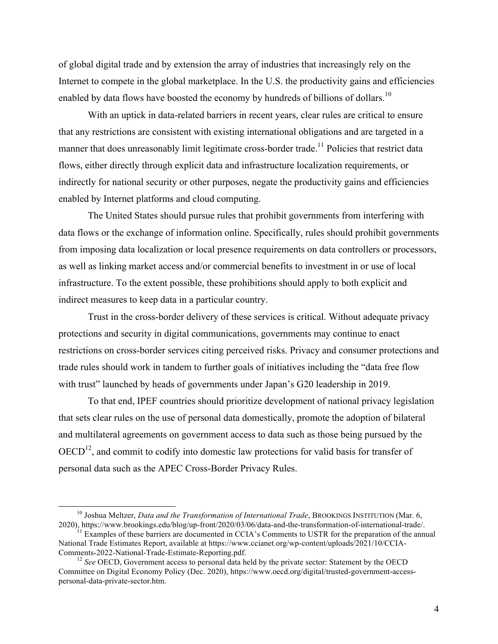of global digital trade and by extension the array of industries that increasingly rely on the Internet to compete in the global marketplace. In the U.S. the productivity gains and efficiencies enabled by data flows have boosted the economy by hundreds of billions of dollars.<sup>10</sup>

With an uptick in data-related barriers in recent years, clear rules are critical to ensure that any restrictions are consistent with existing international obligations and are targeted in a manner that does unreasonably limit legitimate cross-border trade.<sup>11</sup> Policies that restrict data flows, either directly through explicit data and infrastructure localization requirements, or indirectly for national security or other purposes, negate the productivity gains and efficiencies enabled by Internet platforms and cloud computing.

The United States should pursue rules that prohibit governments from interfering with data flows or the exchange of information online. Specifically, rules should prohibit governments from imposing data localization or local presence requirements on data controllers or processors, as well as linking market access and/or commercial benefits to investment in or use of local infrastructure. To the extent possible, these prohibitions should apply to both explicit and indirect measures to keep data in a particular country.

Trust in the cross-border delivery of these services is critical. Without adequate privacy protections and security in digital communications, governments may continue to enact restrictions on cross-border services citing perceived risks. Privacy and consumer protections and trade rules should work in tandem to further goals of initiatives including the "data free flow with trust" launched by heads of governments under Japan's G20 leadership in 2019.

To that end, IPEF countries should prioritize development of national privacy legislation that sets clear rules on the use of personal data domestically, promote the adoption of bilateral and multilateral agreements on government access to data such as those being pursued by the  $OECD<sup>12</sup>$ , and commit to codify into domestic law protections for valid basis for transfer of personal data such as the APEC Cross-Border Privacy Rules.

<sup>&</sup>lt;sup>10</sup> Joshua Meltzer, *Data and the Transformation of International Trade*, BROOKINGS INSTITUTION (Mar. 6, 2020), https://www.brookings.edu/blog/up-front/2020/03/06/data-and-the-transformation-of-international-trade/.

 $1-\sqrt{2}$  Examples of these barriers are documented in CCIA's Comments to USTR for the preparation of the annual National Trade Estimates Report, available at https://www.ccianet.org/wp-content/uploads/2021/10/CCIA-Comments-2022-National-Trade-Estimate-Reporting.pdf. <sup>12</sup> *See* OECD, Government access to personal data held by the private sector: Statement by the OECD

Committee on Digital Economy Policy (Dec. 2020), https://www.oecd.org/digital/trusted-government-accesspersonal-data-private-sector.htm.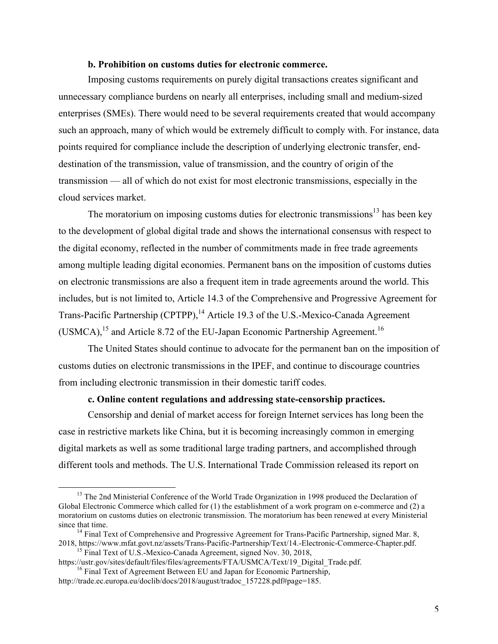#### **b. Prohibition on customs duties for electronic commerce.**

Imposing customs requirements on purely digital transactions creates significant and unnecessary compliance burdens on nearly all enterprises, including small and medium-sized enterprises (SMEs). There would need to be several requirements created that would accompany such an approach, many of which would be extremely difficult to comply with. For instance, data points required for compliance include the description of underlying electronic transfer, enddestination of the transmission, value of transmission, and the country of origin of the transmission — all of which do not exist for most electronic transmissions, especially in the cloud services market.

The moratorium on imposing customs duties for electronic transmissions<sup>13</sup> has been key to the development of global digital trade and shows the international consensus with respect to the digital economy, reflected in the number of commitments made in free trade agreements among multiple leading digital economies. Permanent bans on the imposition of customs duties on electronic transmissions are also a frequent item in trade agreements around the world. This includes, but is not limited to, Article 14.3 of the Comprehensive and Progressive Agreement for Trans-Pacific Partnership (CPTPP),<sup>14</sup> Article 19.3 of the U.S.-Mexico-Canada Agreement (USMCA),<sup>15</sup> and Article 8.72 of the EU-Japan Economic Partnership Agreement.<sup>16</sup>

The United States should continue to advocate for the permanent ban on the imposition of customs duties on electronic transmissions in the IPEF, and continue to discourage countries from including electronic transmission in their domestic tariff codes.

#### **c. Online content regulations and addressing state-censorship practices.**

Censorship and denial of market access for foreign Internet services has long been the case in restrictive markets like China, but it is becoming increasingly common in emerging digital markets as well as some traditional large trading partners, and accomplished through different tools and methods. The U.S. International Trade Commission released its report on

<sup>&</sup>lt;sup>13</sup> The 2nd Ministerial Conference of the World Trade Organization in 1998 produced the Declaration of Global Electronic Commerce which called for (1) the establishment of a work program on e-commerce and (2) a moratorium on customs duties on electronic transmission. The moratorium has been renewed at every Ministerial since that time.<br><sup>14</sup> Final Text of Comprehensive and Progressive Agreement for Trans-Pacific Partnership, signed Mar. 8,

<sup>2018,</sup> https://www.mfat.govt.nz/assets/Trans-Pacific-Partnership/Text/14.-Electronic-Commerce-Chapter.pdf.<br><sup>15</sup> Final Text of U.S.-Mexico-Canada Agreement, signed Nov. 30, 2018,<br>https://ustr.gov/sites/default/files/files/ag

 $\frac{16}{16}$  Final Text of Agreement Between EU and Japan for Economic Partnership, http://trade.ec.europa.eu/doclib/docs/2018/august/tradoc\_157228.pdf#page=185.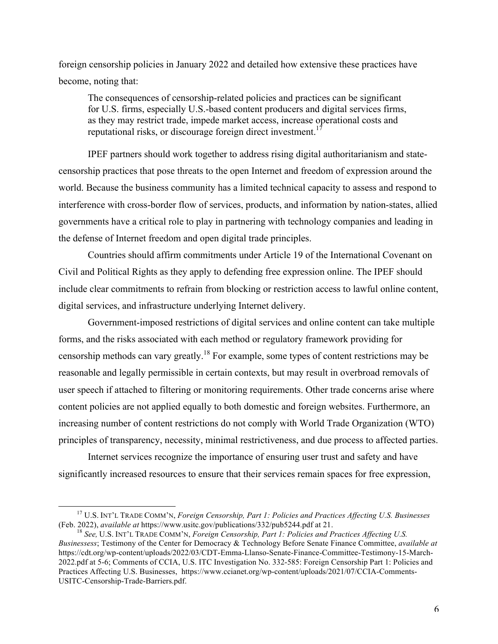foreign censorship policies in January 2022 and detailed how extensive these practices have become, noting that:

The consequences of censorship-related policies and practices can be significant for U.S. firms, especially U.S.-based content producers and digital services firms, as they may restrict trade, impede market access, increase operational costs and reputational risks, or discourage foreign direct investment.<sup>17</sup>

IPEF partners should work together to address rising digital authoritarianism and statecensorship practices that pose threats to the open Internet and freedom of expression around the world. Because the business community has a limited technical capacity to assess and respond to interference with cross-border flow of services, products, and information by nation-states, allied governments have a critical role to play in partnering with technology companies and leading in the defense of Internet freedom and open digital trade principles.

Countries should affirm commitments under Article 19 of the International Covenant on Civil and Political Rights as they apply to defending free expression online. The IPEF should include clear commitments to refrain from blocking or restriction access to lawful online content, digital services, and infrastructure underlying Internet delivery.

Government-imposed restrictions of digital services and online content can take multiple forms, and the risks associated with each method or regulatory framework providing for censorship methods can vary greatly.<sup>18</sup> For example, some types of content restrictions may be reasonable and legally permissible in certain contexts, but may result in overbroad removals of user speech if attached to filtering or monitoring requirements. Other trade concerns arise where content policies are not applied equally to both domestic and foreign websites. Furthermore, an increasing number of content restrictions do not comply with World Trade Organization (WTO) principles of transparency, necessity, minimal restrictiveness, and due process to affected parties.

Internet services recognize the importance of ensuring user trust and safety and have significantly increased resources to ensure that their services remain spaces for free expression,

<sup>&</sup>lt;sup>17</sup> U.S. INT'L TRADE COMM'N, *Foreign Censorship, Part 1: Policies and Practices Affecting U.S. Businesses* (Feb. 2022), *available at https://www.usitc.gov/publications/332/pub5244.pdf at 21.* 

<sup>&</sup>lt;sup>18</sup> See, U.S. INT'L TRADE COMM'N, *Foreign Censorship, Part 1: Policies and Practices Affecting U.S. Businessess*; Testimony of the Center for Democracy & Technology Before Senate Finance Committee, *available at* https://cdt.org/wp-content/uploads/2022/03/CDT-Emma-Llanso-Senate-Finance-Committee-Testimony-15-March-2022.pdf at 5-6; Comments of CCIA, U.S. ITC Investigation No. 332-585: Foreign Censorship Part 1: Policies and Practices Affecting U.S. Businesses, https://www.ccianet.org/wp-content/uploads/2021/07/CCIA-Comments-USITC-Censorship-Trade-Barriers.pdf.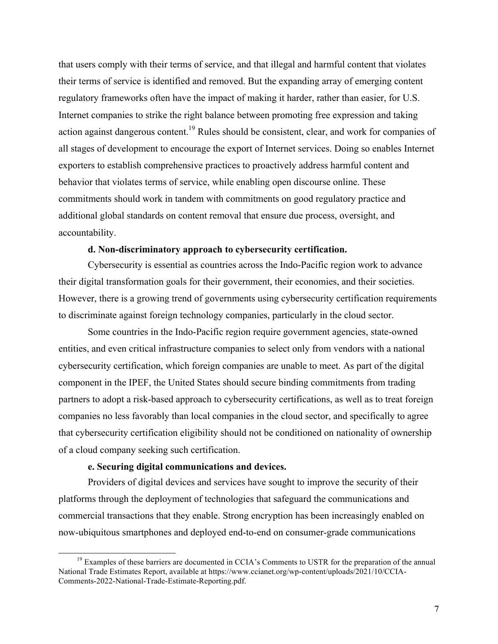that users comply with their terms of service, and that illegal and harmful content that violates their terms of service is identified and removed. But the expanding array of emerging content regulatory frameworks often have the impact of making it harder, rather than easier, for U.S. Internet companies to strike the right balance between promoting free expression and taking action against dangerous content.<sup>19</sup> Rules should be consistent, clear, and work for companies of all stages of development to encourage the export of Internet services. Doing so enables Internet exporters to establish comprehensive practices to proactively address harmful content and behavior that violates terms of service, while enabling open discourse online. These commitments should work in tandem with commitments on good regulatory practice and additional global standards on content removal that ensure due process, oversight, and accountability.

#### **d. Non-discriminatory approach to cybersecurity certification.**

Cybersecurity is essential as countries across the Indo-Pacific region work to advance their digital transformation goals for their government, their economies, and their societies. However, there is a growing trend of governments using cybersecurity certification requirements to discriminate against foreign technology companies, particularly in the cloud sector.

Some countries in the Indo-Pacific region require government agencies, state-owned entities, and even critical infrastructure companies to select only from vendors with a national cybersecurity certification, which foreign companies are unable to meet. As part of the digital component in the IPEF, the United States should secure binding commitments from trading partners to adopt a risk-based approach to cybersecurity certifications, as well as to treat foreign companies no less favorably than local companies in the cloud sector, and specifically to agree that cybersecurity certification eligibility should not be conditioned on nationality of ownership of a cloud company seeking such certification.

#### **e. Securing digital communications and devices.**

Providers of digital devices and services have sought to improve the security of their platforms through the deployment of technologies that safeguard the communications and commercial transactions that they enable. Strong encryption has been increasingly enabled on now-ubiquitous smartphones and deployed end-to-end on consumer-grade communications

 $19$  Examples of these barriers are documented in CCIA's Comments to USTR for the preparation of the annual National Trade Estimates Report, available at https://www.ccianet.org/wp-content/uploads/2021/10/CCIA-Comments-2022-National-Trade-Estimate-Reporting.pdf.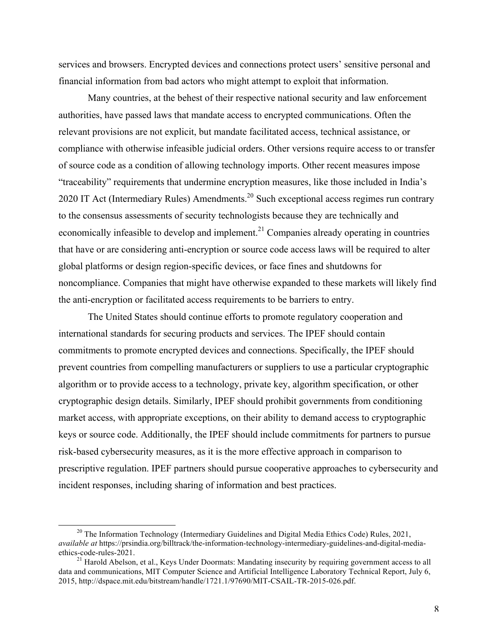services and browsers. Encrypted devices and connections protect users' sensitive personal and financial information from bad actors who might attempt to exploit that information.

Many countries, at the behest of their respective national security and law enforcement authorities, have passed laws that mandate access to encrypted communications. Often the relevant provisions are not explicit, but mandate facilitated access, technical assistance, or compliance with otherwise infeasible judicial orders. Other versions require access to or transfer of source code as a condition of allowing technology imports. Other recent measures impose "traceability" requirements that undermine encryption measures, like those included in India's 2020 IT Act (Intermediary Rules) Amendments.<sup>20</sup> Such exceptional access regimes run contrary to the consensus assessments of security technologists because they are technically and economically infeasible to develop and implement.<sup>21</sup> Companies already operating in countries that have or are considering anti-encryption or source code access laws will be required to alter global platforms or design region-specific devices, or face fines and shutdowns for noncompliance. Companies that might have otherwise expanded to these markets will likely find the anti-encryption or facilitated access requirements to be barriers to entry.

The United States should continue efforts to promote regulatory cooperation and international standards for securing products and services. The IPEF should contain commitments to promote encrypted devices and connections. Specifically, the IPEF should prevent countries from compelling manufacturers or suppliers to use a particular cryptographic algorithm or to provide access to a technology, private key, algorithm specification, or other cryptographic design details. Similarly, IPEF should prohibit governments from conditioning market access, with appropriate exceptions, on their ability to demand access to cryptographic keys or source code. Additionally, the IPEF should include commitments for partners to pursue risk-based cybersecurity measures, as it is the more effective approach in comparison to prescriptive regulation. IPEF partners should pursue cooperative approaches to cybersecurity and incident responses, including sharing of information and best practices.

<sup>&</sup>lt;sup>20</sup> The Information Technology (Intermediary Guidelines and Digital Media Ethics Code) Rules, 2021, *available at* https://prsindia.org/billtrack/the-information-technology-intermediary-guidelines-and-digital-mediaethics-code-rules-2021. <sup>21</sup> Harold Abelson, et al., Keys Under Doormats: Mandating insecurity by requiring government access to all

data and communications, MIT Computer Science and Artificial Intelligence Laboratory Technical Report, July 6, 2015, http://dspace.mit.edu/bitstream/handle/1721.1/97690/MIT-CSAIL-TR-2015-026.pdf.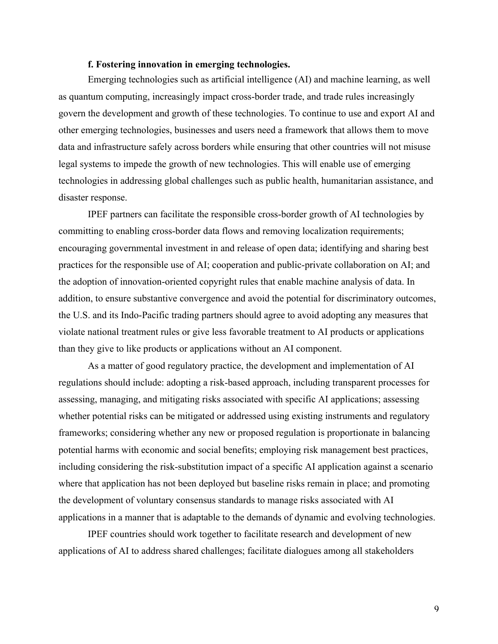#### **f. Fostering innovation in emerging technologies.**

Emerging technologies such as artificial intelligence (AI) and machine learning, as well as quantum computing, increasingly impact cross-border trade, and trade rules increasingly govern the development and growth of these technologies. To continue to use and export AI and other emerging technologies, businesses and users need a framework that allows them to move data and infrastructure safely across borders while ensuring that other countries will not misuse legal systems to impede the growth of new technologies. This will enable use of emerging technologies in addressing global challenges such as public health, humanitarian assistance, and disaster response.

IPEF partners can facilitate the responsible cross-border growth of AI technologies by committing to enabling cross-border data flows and removing localization requirements; encouraging governmental investment in and release of open data; identifying and sharing best practices for the responsible use of AI; cooperation and public-private collaboration on AI; and the adoption of innovation-oriented copyright rules that enable machine analysis of data. In addition, to ensure substantive convergence and avoid the potential for discriminatory outcomes, the U.S. and its Indo-Pacific trading partners should agree to avoid adopting any measures that violate national treatment rules or give less favorable treatment to AI products or applications than they give to like products or applications without an AI component.

As a matter of good regulatory practice, the development and implementation of AI regulations should include: adopting a risk-based approach, including transparent processes for assessing, managing, and mitigating risks associated with specific AI applications; assessing whether potential risks can be mitigated or addressed using existing instruments and regulatory frameworks; considering whether any new or proposed regulation is proportionate in balancing potential harms with economic and social benefits; employing risk management best practices, including considering the risk-substitution impact of a specific AI application against a scenario where that application has not been deployed but baseline risks remain in place; and promoting the development of voluntary consensus standards to manage risks associated with AI applications in a manner that is adaptable to the demands of dynamic and evolving technologies.

IPEF countries should work together to facilitate research and development of new applications of AI to address shared challenges; facilitate dialogues among all stakeholders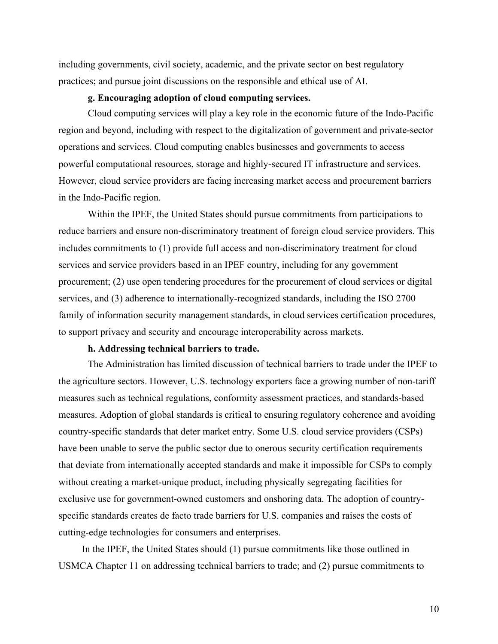including governments, civil society, academic, and the private sector on best regulatory practices; and pursue joint discussions on the responsible and ethical use of AI.

### **g. Encouraging adoption of cloud computing services.**

Cloud computing services will play a key role in the economic future of the Indo-Pacific region and beyond, including with respect to the digitalization of government and private-sector operations and services. Cloud computing enables businesses and governments to access powerful computational resources, storage and highly-secured IT infrastructure and services. However, cloud service providers are facing increasing market access and procurement barriers in the Indo-Pacific region.

Within the IPEF, the United States should pursue commitments from participations to reduce barriers and ensure non-discriminatory treatment of foreign cloud service providers. This includes commitments to (1) provide full access and non-discriminatory treatment for cloud services and service providers based in an IPEF country, including for any government procurement; (2) use open tendering procedures for the procurement of cloud services or digital services, and (3) adherence to internationally-recognized standards, including the ISO 2700 family of information security management standards, in cloud services certification procedures, to support privacy and security and encourage interoperability across markets.

## **h. Addressing technical barriers to trade.**

The Administration has limited discussion of technical barriers to trade under the IPEF to the agriculture sectors. However, U.S. technology exporters face a growing number of non-tariff measures such as technical regulations, conformity assessment practices, and standards-based measures. Adoption of global standards is critical to ensuring regulatory coherence and avoiding country-specific standards that deter market entry. Some U.S. cloud service providers (CSPs) have been unable to serve the public sector due to onerous security certification requirements that deviate from internationally accepted standards and make it impossible for CSPs to comply without creating a market-unique product, including physically segregating facilities for exclusive use for government-owned customers and onshoring data. The adoption of countryspecific standards creates de facto trade barriers for U.S. companies and raises the costs of cutting-edge technologies for consumers and enterprises.

In the IPEF, the United States should (1) pursue commitments like those outlined in USMCA Chapter 11 on addressing technical barriers to trade; and (2) pursue commitments to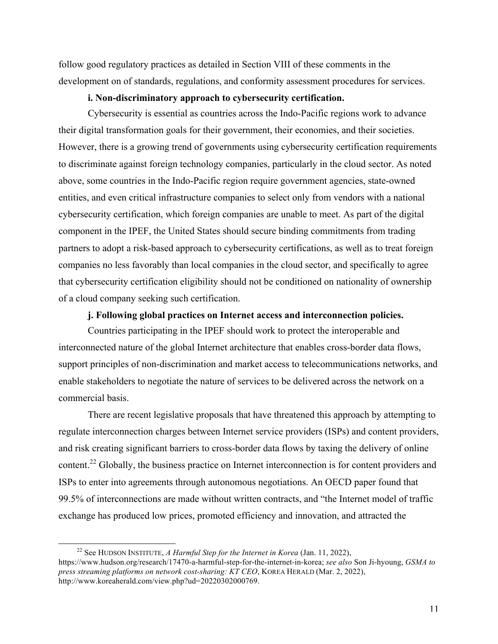follow good regulatory practices as detailed in Section VIII of these comments in the development on of standards, regulations, and conformity assessment procedures for services.

## **i. Non-discriminatory approach to cybersecurity certification.**

Cybersecurity is essential as countries across the Indo-Pacific regions work to advance their digital transformation goals for their government, their economies, and their societies. However, there is a growing trend of governments using cybersecurity certification requirements to discriminate against foreign technology companies, particularly in the cloud sector. As noted above, some countries in the Indo-Pacific region require government agencies, state-owned entities, and even critical infrastructure companies to select only from vendors with a national cybersecurity certification, which foreign companies are unable to meet. As part of the digital component in the IPEF, the United States should secure binding commitments from trading partners to adopt a risk-based approach to cybersecurity certifications, as well as to treat foreign companies no less favorably than local companies in the cloud sector, and specifically to agree that cybersecurity certification eligibility should not be conditioned on nationality of ownership of a cloud company seeking such certification.

## **j. Following global practices on Internet access and interconnection policies.**

Countries participating in the IPEF should work to protect the interoperable and interconnected nature of the global Internet architecture that enables cross-border data flows, support principles of non-discrimination and market access to telecommunications networks, and enable stakeholders to negotiate the nature of services to be delivered across the network on a commercial basis.

There are recent legislative proposals that have threatened this approach by attempting to regulate interconnection charges between Internet service providers (ISPs) and content providers, and risk creating significant barriers to cross-border data flows by taxing the delivery of online content.<sup>22</sup> Globally, the business practice on Internet interconnection is for content providers and ISPs to enter into agreements through autonomous negotiations. An OECD paper found that 99.5% of interconnections are made without written contracts, and "the Internet model of traffic exchange has produced low prices, promoted efficiency and innovation, and attracted the

<sup>22</sup> See HUDSON INSTITUTE, *A Harmful Step for the Internet in Korea* (Jan. 11, 2022), https://www.hudson.org/research/17470-a-harmful-step-for-the-internet-in-korea; *see also* Son Ji-hyoung, *GSMA to press streaming platforms on network cost-sharing: KT CEO*, KOREA HERALD (Mar. 2, 2022), http://www.koreaherald.com/view.php?ud=20220302000769.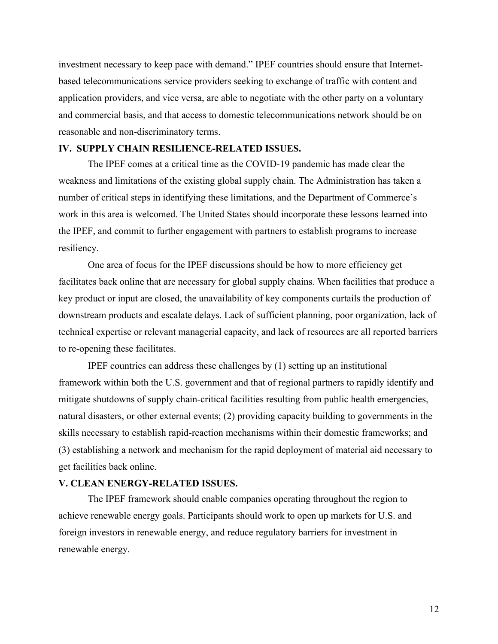investment necessary to keep pace with demand." IPEF countries should ensure that Internetbased telecommunications service providers seeking to exchange of traffic with content and application providers, and vice versa, are able to negotiate with the other party on a voluntary and commercial basis, and that access to domestic telecommunications network should be on reasonable and non-discriminatory terms.

### **IV. SUPPLY CHAIN RESILIENCE-RELATED ISSUES.**

The IPEF comes at a critical time as the COVID-19 pandemic has made clear the weakness and limitations of the existing global supply chain. The Administration has taken a number of critical steps in identifying these limitations, and the Department of Commerce's work in this area is welcomed. The United States should incorporate these lessons learned into the IPEF, and commit to further engagement with partners to establish programs to increase resiliency.

One area of focus for the IPEF discussions should be how to more efficiency get facilitates back online that are necessary for global supply chains. When facilities that produce a key product or input are closed, the unavailability of key components curtails the production of downstream products and escalate delays. Lack of sufficient planning, poor organization, lack of technical expertise or relevant managerial capacity, and lack of resources are all reported barriers to re-opening these facilitates.

IPEF countries can address these challenges by (1) setting up an institutional framework within both the U.S. government and that of regional partners to rapidly identify and mitigate shutdowns of supply chain-critical facilities resulting from public health emergencies, natural disasters, or other external events; (2) providing capacity building to governments in the skills necessary to establish rapid-reaction mechanisms within their domestic frameworks; and (3) establishing a network and mechanism for the rapid deployment of material aid necessary to get facilities back online.

### **V. CLEAN ENERGY-RELATED ISSUES.**

The IPEF framework should enable companies operating throughout the region to achieve renewable energy goals. Participants should work to open up markets for U.S. and foreign investors in renewable energy, and reduce regulatory barriers for investment in renewable energy.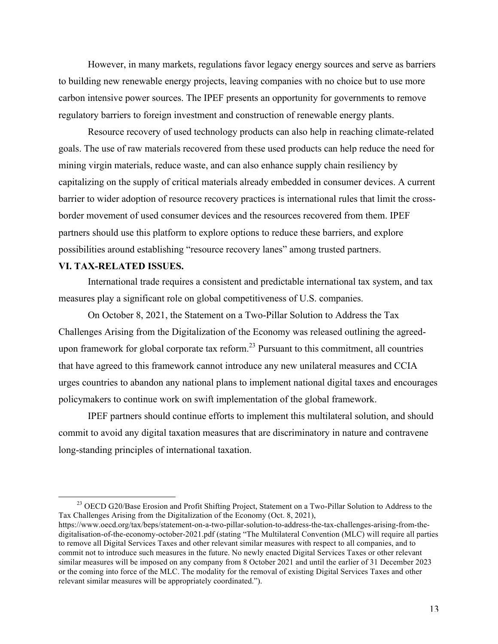However, in many markets, regulations favor legacy energy sources and serve as barriers to building new renewable energy projects, leaving companies with no choice but to use more carbon intensive power sources. The IPEF presents an opportunity for governments to remove regulatory barriers to foreign investment and construction of renewable energy plants.

Resource recovery of used technology products can also help in reaching climate-related goals. The use of raw materials recovered from these used products can help reduce the need for mining virgin materials, reduce waste, and can also enhance supply chain resiliency by capitalizing on the supply of critical materials already embedded in consumer devices. A current barrier to wider adoption of resource recovery practices is international rules that limit the crossborder movement of used consumer devices and the resources recovered from them. IPEF partners should use this platform to explore options to reduce these barriers, and explore possibilities around establishing "resource recovery lanes" among trusted partners.

### **VI. TAX-RELATED ISSUES.**

International trade requires a consistent and predictable international tax system, and tax measures play a significant role on global competitiveness of U.S. companies.

On October 8, 2021, the Statement on a Two-Pillar Solution to Address the Tax Challenges Arising from the Digitalization of the Economy was released outlining the agreedupon framework for global corporate tax reform.<sup>23</sup> Pursuant to this commitment, all countries that have agreed to this framework cannot introduce any new unilateral measures and CCIA urges countries to abandon any national plans to implement national digital taxes and encourages policymakers to continue work on swift implementation of the global framework.

IPEF partners should continue efforts to implement this multilateral solution, and should commit to avoid any digital taxation measures that are discriminatory in nature and contravene long-standing principles of international taxation.

<sup>&</sup>lt;sup>23</sup> OECD G20/Base Erosion and Profit Shifting Project, Statement on a Two-Pillar Solution to Address to the Tax Challenges Arising from the Digitalization of the Economy (Oct. 8, 2021),

https://www.oecd.org/tax/beps/statement-on-a-two-pillar-solution-to-address-the-tax-challenges-arising-from-thedigitalisation-of-the-economy-october-2021.pdf (stating "The Multilateral Convention (MLC) will require all parties to remove all Digital Services Taxes and other relevant similar measures with respect to all companies, and to commit not to introduce such measures in the future. No newly enacted Digital Services Taxes or other relevant similar measures will be imposed on any company from 8 October 2021 and until the earlier of 31 December 2023 or the coming into force of the MLC. The modality for the removal of existing Digital Services Taxes and other relevant similar measures will be appropriately coordinated.").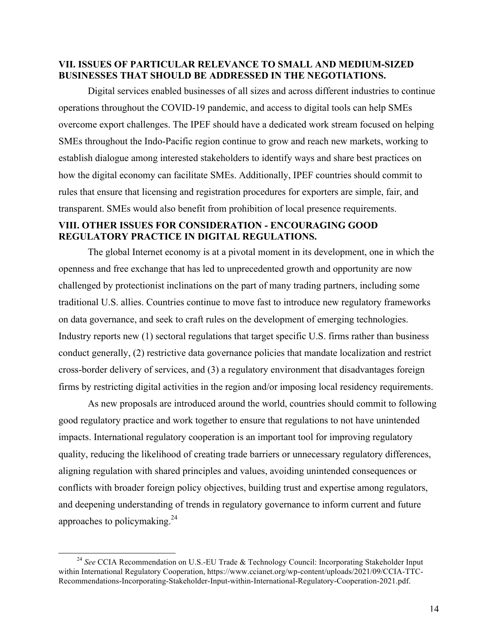## **VII. ISSUES OF PARTICULAR RELEVANCE TO SMALL AND MEDIUM-SIZED BUSINESSES THAT SHOULD BE ADDRESSED IN THE NEGOTIATIONS.**

Digital services enabled businesses of all sizes and across different industries to continue operations throughout the COVID-19 pandemic, and access to digital tools can help SMEs overcome export challenges. The IPEF should have a dedicated work stream focused on helping SMEs throughout the Indo-Pacific region continue to grow and reach new markets, working to establish dialogue among interested stakeholders to identify ways and share best practices on how the digital economy can facilitate SMEs. Additionally, IPEF countries should commit to rules that ensure that licensing and registration procedures for exporters are simple, fair, and transparent. SMEs would also benefit from prohibition of local presence requirements.

## **VIII. OTHER ISSUES FOR CONSIDERATION - ENCOURAGING GOOD REGULATORY PRACTICE IN DIGITAL REGULATIONS.**

The global Internet economy is at a pivotal moment in its development, one in which the openness and free exchange that has led to unprecedented growth and opportunity are now challenged by protectionist inclinations on the part of many trading partners, including some traditional U.S. allies. Countries continue to move fast to introduce new regulatory frameworks on data governance, and seek to craft rules on the development of emerging technologies. Industry reports new (1) sectoral regulations that target specific U.S. firms rather than business conduct generally, (2) restrictive data governance policies that mandate localization and restrict cross-border delivery of services, and (3) a regulatory environment that disadvantages foreign firms by restricting digital activities in the region and/or imposing local residency requirements.

As new proposals are introduced around the world, countries should commit to following good regulatory practice and work together to ensure that regulations to not have unintended impacts. International regulatory cooperation is an important tool for improving regulatory quality, reducing the likelihood of creating trade barriers or unnecessary regulatory differences, aligning regulation with shared principles and values, avoiding unintended consequences or conflicts with broader foreign policy objectives, building trust and expertise among regulators, and deepening understanding of trends in regulatory governance to inform current and future approaches to policymaking. $24$ 

<sup>&</sup>lt;sup>24</sup> See CCIA Recommendation on U.S.-EU Trade & Technology Council: Incorporating Stakeholder Input within International Regulatory Cooperation, https://www.ccianet.org/wp-content/uploads/2021/09/CCIA-TTC-Recommendations-Incorporating-Stakeholder-Input-within-International-Regulatory-Cooperation-2021.pdf.